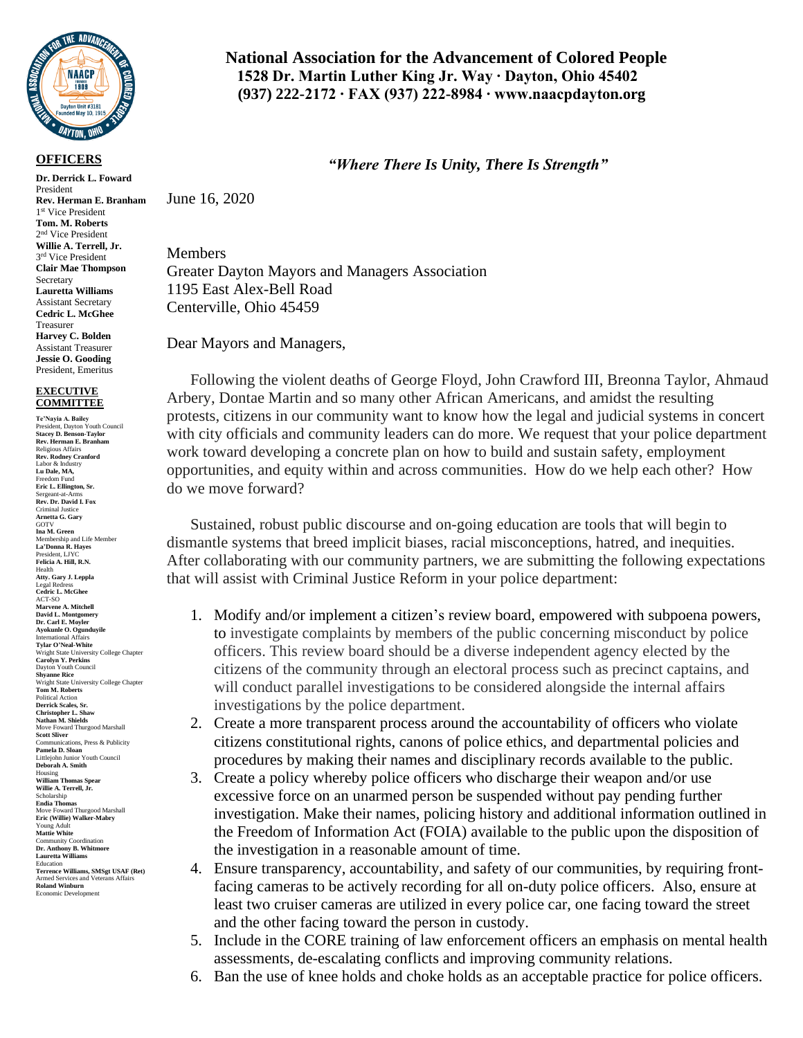

## **OFFICERS**

**Dr. Derrick L. Foward**  President **Rev. Herman E. Branham** 1 st Vice President **Tom. M. Roberts** 2 nd Vice President **Willie A. Terrell, Jr.** 3<sup>rd</sup> Vice President **Clair Mae Thompson** Secretary **Lauretta Williams** Assistant Secretary **Cedric L. McGhee** Treasurer **Harvey C. Bolden** Assistant Treasurer **Jessie O. Gooding** President, Emeritus

## **EXECUTIVE COMMITTEE**

**Te'Nayia A. Bailey** President, Dayton Youth Council **Stacey D. Benson-Taylor Rev. Herman E. Branham** Religious Affairs **Rev. Rodney Cranford** Labor & Industry **Lu Dale, MA,** Freedom Fund **Eric L. Ellington, Sr.** Sergeant-at-Arms **Rev. Dr. David I. Fox** Criminal Justice **Arnetta G. Gary** GOTV<br>Ina M. Green **Ina M. Green** Membership and Life Member **La'Donna R. Hayes** President, LJYC **Felicia A. Hill, R.N.** Health **Atty. Gary J. Leppla** Legal Redress **Cedric L. McGhee** ACT-SO **Marvene A. Mitchell David L. Montgomery Dr. Carl E. Moyler Ayokunle O. Ogunduyile** International Affairs **Tylar O'Neal-White** Wright State University College Chapter **Carolyn Y. Perkins** Dayton Youth Council **Shyanne Rice** Wright State University College Chapter **Tom M. Roberts** Political Action **Derrick Scales, Sr. Christopher L. Shaw Nathan M. Shields** Move Foward Thurgood Marshall **Scott Sliver** Communications, Press & Publicity **Pamela D. Sloan** Littlejohn Junior Youth Council **Deborah A. Smith** Housing **William Thomas Spear Willie A. Terrell, Jr.** Scholarship **Endia Thomas** Move Foward Thurgood Marshall **Eric (Willie) Walker-Mabry** Young Adult **Mattie White** Community Coordination **Dr. Anthony B. Whitmore Lauretta Williams** Education **Terrence Williams, SMSgt USAF (Ret)** Armed Services and Veterans Affairs **Roland Winburn** Economic Development

## **National Association for the Advancement of Colored People 1528 Dr. Martin Luther King Jr. Way ∙ Dayton, Ohio 45402 (937) 222-2172 ∙ FAX (937) 222-8984 ∙ www.naacpdayton.org**

## *"Where There Is Unity, There Is Strength"*

June 16, 2020

Members Greater Dayton Mayors and Managers Association 1195 East Alex-Bell Road Centerville, Ohio 45459

Dear Mayors and Managers,

Following the violent deaths of George Floyd, John Crawford III, Breonna Taylor, Ahmaud Arbery, Dontae Martin and so many other African Americans, and amidst the resulting protests, citizens in our community want to know how the legal and judicial systems in concert with city officials and community leaders can do more. We request that your police department work toward developing a concrete plan on how to build and sustain safety, employment opportunities, and equity within and across communities. How do we help each other? How do we move forward?

Sustained, robust public discourse and on-going education are tools that will begin to dismantle systems that breed implicit biases, racial misconceptions, hatred, and inequities. After collaborating with our community partners, we are submitting the following expectations that will assist with Criminal Justice Reform in your police department:

- 1. Modify and/or implement a citizen's review board, empowered with subpoena powers, to investigate complaints by members of the public concerning misconduct by police officers. This review board should be a diverse independent agency elected by the citizens of the community through an electoral process such as precinct captains, and will conduct parallel investigations to be considered alongside the internal affairs investigations by the police department.
- 2. Create a more transparent process around the accountability of officers who violate citizens constitutional rights, canons of police ethics, and departmental policies and procedures by making their names and disciplinary records available to the public.
- 3. Create a policy whereby police officers who discharge their weapon and/or use excessive force on an unarmed person be suspended without pay pending further investigation. Make their names, policing history and additional information outlined in the Freedom of Information Act (FOIA) available to the public upon the disposition of the investigation in a reasonable amount of time.
- 4. Ensure transparency, accountability, and safety of our communities, by requiring frontfacing cameras to be actively recording for all on-duty police officers. Also, ensure at least two cruiser cameras are utilized in every police car, one facing toward the street and the other facing toward the person in custody.
- 5. Include in the CORE training of law enforcement officers an emphasis on mental health assessments, de-escalating conflicts and improving community relations.
- 6. Ban the use of knee holds and choke holds as an acceptable practice for police officers.